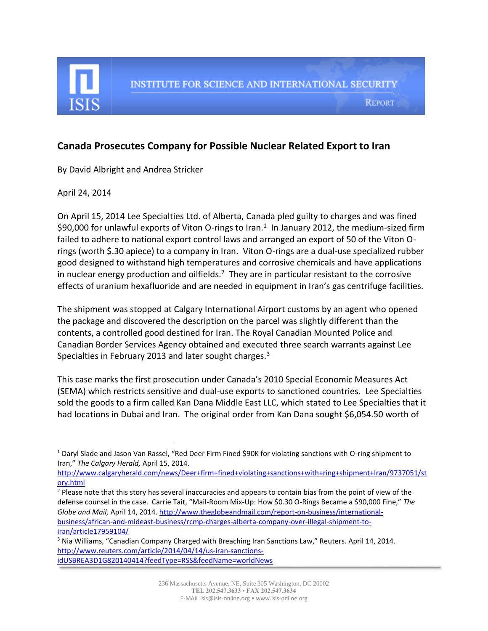

**REPORT** 

## **Canada Prosecutes Company for Possible Nuclear Related Export to Iran**

By David Albright and Andrea Stricker

April 24, 2014

l

On April 15, 2014 Lee Specialties Ltd. of Alberta, Canada pled guilty to charges and was fined \$90,000 for unlawful exports of Viton O-rings to Iran.<sup>1</sup> In January 2012, the medium-sized firm failed to adhere to national export control laws and arranged an export of 50 of the Viton Orings (worth \$.30 apiece) to a company in Iran. Viton O-rings are a dual-use specialized rubber good designed to withstand high temperatures and corrosive chemicals and have applications in nuclear energy production and oilfields.<sup>2</sup> They are in particular resistant to the corrosive effects of uranium hexafluoride and are needed in equipment in Iran's gas centrifuge facilities.

The shipment was stopped at Calgary International Airport customs by an agent who opened the package and discovered the description on the parcel was slightly different than the contents, a controlled good destined for Iran. The Royal Canadian Mounted Police and Canadian Border Services Agency obtained and executed three search warrants against Lee Specialties in February 2013 and later sought charges.<sup>3</sup>

This case marks the first prosecution under Canada's 2010 Special Economic Measures Act (SEMA) which restricts sensitive and dual-use exports to sanctioned countries. Lee Specialties sold the goods to a firm called Kan Dana Middle East LLC, which stated to Lee Specialties that it had locations in Dubai and Iran. The original order from Kan Dana sought \$6,054.50 worth of

 $1$  Daryl Slade and Jason Van Rassel, "Red Deer Firm Fined \$90K for violating sanctions with O-ring shipment to Iran," *The Calgary Herald,* April 15, 2014.

[http://www.calgaryherald.com/news/Deer+firm+fined+violating+sanctions+with+ring+shipment+Iran/9737051/st](http://www.calgaryherald.com/news/Deer+firm+fined+violating+sanctions+with+ring+shipment+Iran/9737051/story.html) [ory.html](http://www.calgaryherald.com/news/Deer+firm+fined+violating+sanctions+with+ring+shipment+Iran/9737051/story.html)

<sup>&</sup>lt;sup>2</sup> Please note that this story has several inaccuracies and appears to contain bias from the point of view of the defense counsel in the case. Carrie Tait, "Mail-Room Mix-Up: How \$0.30 O-Rings Became a \$90,000 Fine," *The Globe and Mail,* April 14, 2014. [http://www.theglobeandmail.com/report-on-business/international](http://www.theglobeandmail.com/report-on-business/international-business/african-and-mideast-business/rcmp-charges-alberta-company-over-illegal-shipment-to-iran/article17959104/)[business/african-and-mideast-business/rcmp-charges-alberta-company-over-illegal-shipment-to](http://www.theglobeandmail.com/report-on-business/international-business/african-and-mideast-business/rcmp-charges-alberta-company-over-illegal-shipment-to-iran/article17959104/)[iran/article17959104/](http://www.theglobeandmail.com/report-on-business/international-business/african-and-mideast-business/rcmp-charges-alberta-company-over-illegal-shipment-to-iran/article17959104/)

<sup>3</sup> Nia Williams, "Canadian Company Charged with Breaching Iran Sanctions Law," Reuters. April 14, 2014. [http://www.reuters.com/article/2014/04/14/us-iran-sanctions](http://www.reuters.com/article/2014/04/14/us-iran-sanctions-idUSBREA3D1G820140414?feedType=RSS&feedName=worldNews)[idUSBREA3D1G820140414?feedType=RSS&feedName=worldNews](http://www.reuters.com/article/2014/04/14/us-iran-sanctions-idUSBREA3D1G820140414?feedType=RSS&feedName=worldNews)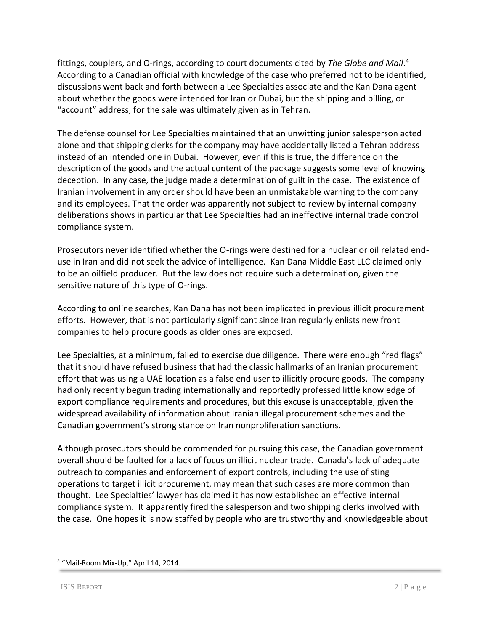fittings, couplers, and O-rings, according to court documents cited by *The Globe and Mail*. 4 According to a Canadian official with knowledge of the case who preferred not to be identified, discussions went back and forth between a Lee Specialties associate and the Kan Dana agent about whether the goods were intended for Iran or Dubai, but the shipping and billing, or "account" address, for the sale was ultimately given as in Tehran.

The defense counsel for Lee Specialties maintained that an unwitting junior salesperson acted alone and that shipping clerks for the company may have accidentally listed a Tehran address instead of an intended one in Dubai. However, even if this is true, the difference on the description of the goods and the actual content of the package suggests some level of knowing deception. In any case, the judge made a determination of guilt in the case. The existence of Iranian involvement in any order should have been an unmistakable warning to the company and its employees. That the order was apparently not subject to review by internal company deliberations shows in particular that Lee Specialties had an ineffective internal trade control compliance system.

Prosecutors never identified whether the O-rings were destined for a nuclear or oil related enduse in Iran and did not seek the advice of intelligence. Kan Dana Middle East LLC claimed only to be an oilfield producer. But the law does not require such a determination, given the sensitive nature of this type of O-rings.

According to online searches, Kan Dana has not been implicated in previous illicit procurement efforts. However, that is not particularly significant since Iran regularly enlists new front companies to help procure goods as older ones are exposed.

Lee Specialties, at a minimum, failed to exercise due diligence. There were enough "red flags" that it should have refused business that had the classic hallmarks of an Iranian procurement effort that was using a UAE location as a false end user to illicitly procure goods. The company had only recently begun trading internationally and reportedly professed little knowledge of export compliance requirements and procedures, but this excuse is unacceptable, given the widespread availability of information about Iranian illegal procurement schemes and the Canadian government's strong stance on Iran nonproliferation sanctions.

Although prosecutors should be commended for pursuing this case, the Canadian government overall should be faulted for a lack of focus on illicit nuclear trade. Canada's lack of adequate outreach to companies and enforcement of export controls, including the use of sting operations to target illicit procurement, may mean that such cases are more common than thought. Lee Specialties' lawyer has claimed it has now established an effective internal compliance system. It apparently fired the salesperson and two shipping clerks involved with the case. One hopes it is now staffed by people who are trustworthy and knowledgeable about

 $\overline{a}$ 

<sup>4</sup> "Mail-Room Mix-Up," April 14, 2014.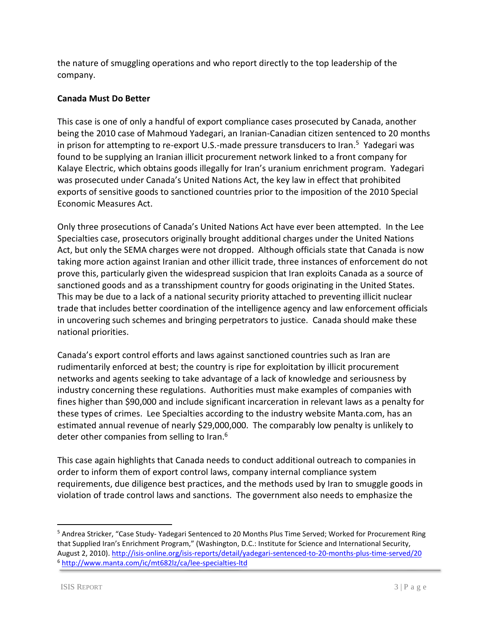the nature of smuggling operations and who report directly to the top leadership of the company.

## **Canada Must Do Better**

This case is one of only a handful of export compliance cases prosecuted by Canada, another being the 2010 case of Mahmoud Yadegari, an Iranian-Canadian citizen sentenced to 20 months in prison for attempting to re-export U.S.-made pressure transducers to Iran.<sup>5</sup> Yadegari was found to be supplying an Iranian illicit procurement network linked to a front company for Kalaye Electric, which obtains goods illegally for Iran's uranium enrichment program. Yadegari was prosecuted under Canada's United Nations Act, the key law in effect that prohibited exports of sensitive goods to sanctioned countries prior to the imposition of the 2010 Special Economic Measures Act.

Only three prosecutions of Canada's United Nations Act have ever been attempted. In the Lee Specialties case, prosecutors originally brought additional charges under the United Nations Act, but only the SEMA charges were not dropped. Although officials state that Canada is now taking more action against Iranian and other illicit trade, three instances of enforcement do not prove this, particularly given the widespread suspicion that Iran exploits Canada as a source of sanctioned goods and as a transshipment country for goods originating in the United States. This may be due to a lack of a national security priority attached to preventing illicit nuclear trade that includes better coordination of the intelligence agency and law enforcement officials in uncovering such schemes and bringing perpetrators to justice. Canada should make these national priorities.

Canada's export control efforts and laws against sanctioned countries such as Iran are rudimentarily enforced at best; the country is ripe for exploitation by illicit procurement networks and agents seeking to take advantage of a lack of knowledge and seriousness by industry concerning these regulations. Authorities must make examples of companies with fines higher than \$90,000 and include significant incarceration in relevant laws as a penalty for these types of crimes. Lee Specialties according to the industry website Manta.com, has an estimated annual revenue of nearly \$29,000,000. The comparably low penalty is unlikely to deter other companies from selling to Iran.<sup>6</sup>

This case again highlights that Canada needs to conduct additional outreach to companies in order to inform them of export control laws, company internal compliance system requirements, due diligence best practices, and the methods used by Iran to smuggle goods in violation of trade control laws and sanctions. The government also needs to emphasize the

 $\overline{\phantom{a}}$ 

<sup>5</sup> Andrea Stricker, "Case Study- Yadegari Sentenced to 20 Months Plus Time Served; Worked for Procurement Ring that Supplied Iran's Enrichment Program," (Washington, D.C.: Institute for Science and International Security, August 2, 2010)[. http://isis-online.org/isis-reports/detail/yadegari-sentenced-to-20-months-plus-time-served/20](http://isis-online.org/isis-reports/detail/yadegari-sentenced-to-20-months-plus-time-served/20) <sup>6</sup> <http://www.manta.com/ic/mt682lz/ca/lee-specialties-ltd>